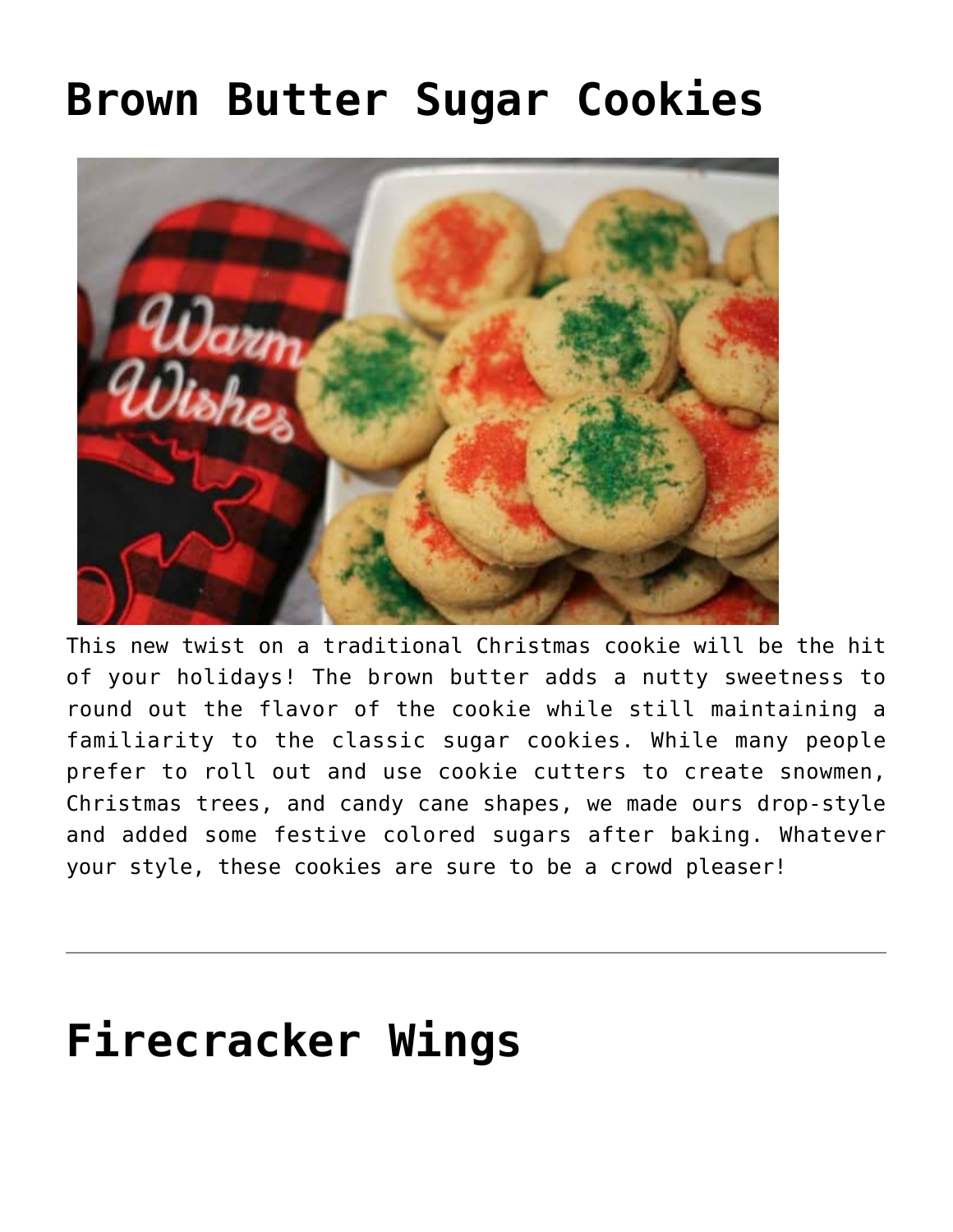#### **[Brown Butter Sugar Cookies](https://www.nesco.com/recipe/brown-butter-sugar-cookies/)**



This new twist on a traditional Christmas cookie will be the hit of your holidays! The brown butter adds a nutty sweetness to round out the flavor of the cookie while still maintaining a familiarity to the classic sugar cookies. While many people prefer to roll out and use cookie cutters to create snowmen, Christmas trees, and candy cane shapes, we made ours drop-style and added some festive colored sugars after baking. Whatever your style, these cookies are sure to be a crowd pleaser!

## **[Firecracker Wings](https://www.nesco.com/recipe/firecracker-wings/)**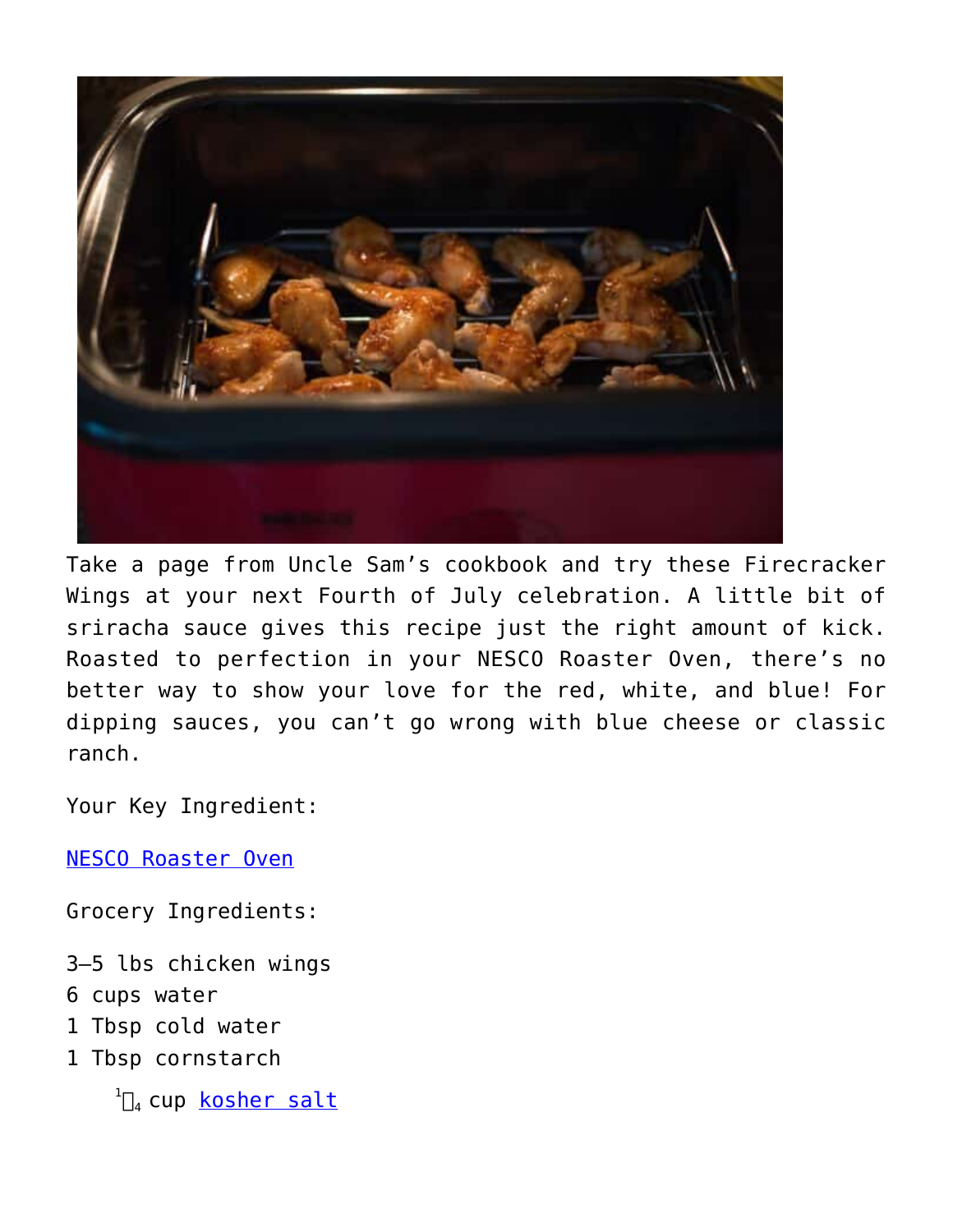

Take a page from Uncle Sam's cookbook and try these Firecracker Wings at your next Fourth of July celebration. A little bit of sriracha sauce gives this recipe just the right amount of kick. Roasted to perfection in your NESCO Roaster Oven, there's no better way to show your love for the red, white, and blue! For dipping sauces, you can't go wrong with blue cheese or classic ranch.

Your Key Ingredient:

[NESCO Roaster Oven](https://www.nesco.com/product-category/cooking/roaster-ovens/)

Grocery Ingredients:

3–5 lbs chicken wings

- 6 cups water
- 1 Tbsp cold water
- 1 Tbsp cornstarch

 $^{1}$  $\Box_{4}$  cup [kosher salt](http://www.geniuskitchen.com/about/salt-359)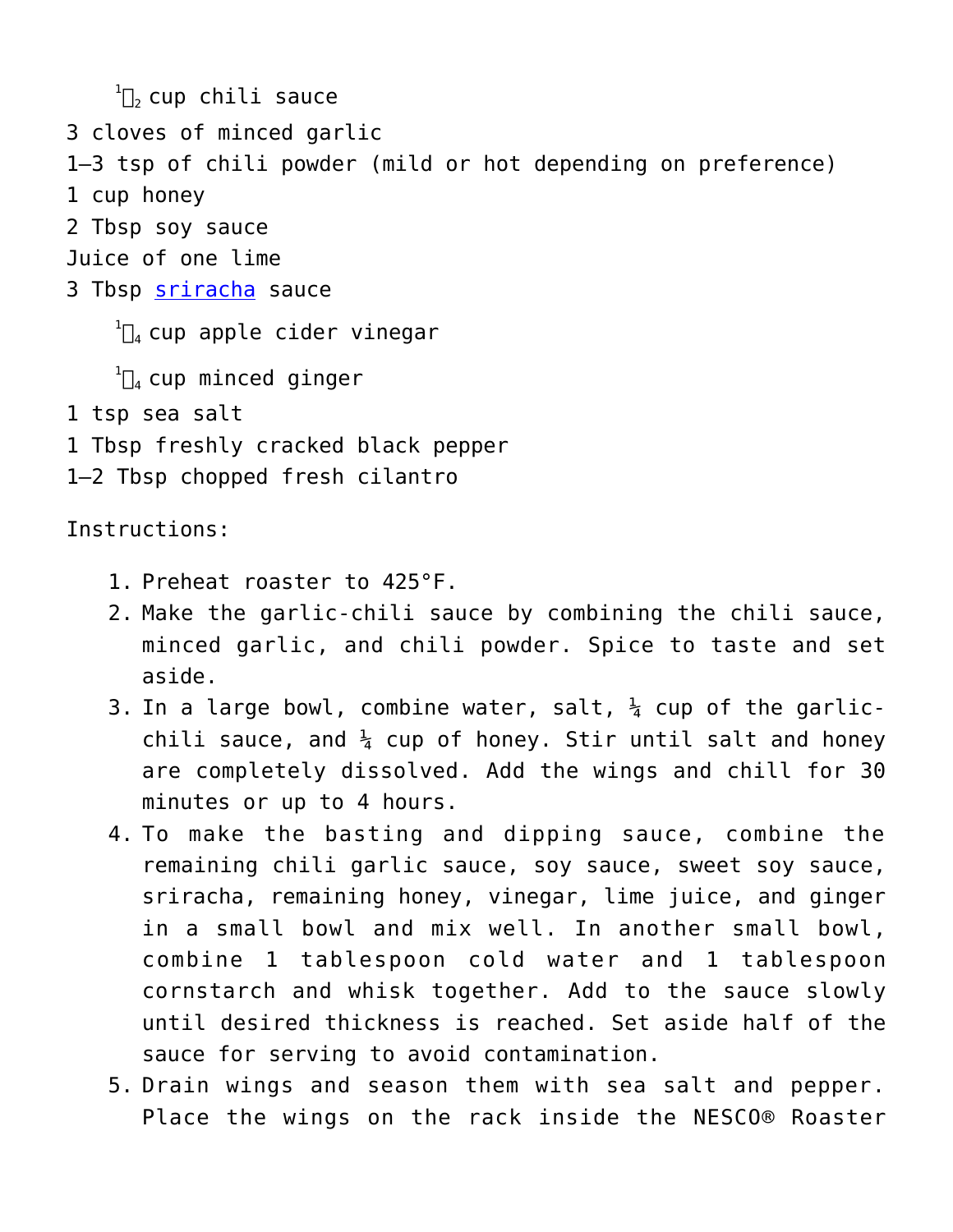$^{1}$  $\Box$ , cup chili sauce

3 cloves of minced garlic

1–3 tsp of chili powder (mild or hot depending on preference)

1 cup honey

2 Tbsp soy sauce

Juice of one lime

3 Tbsp [sriracha](http://www.geniuskitchen.com/about/chili-sauce-15) sauce

 $^{1}$  $\prod_{4}$  cup apple cider vinegar

 ${}^{1}\Pi_{4}$  cup minced ginger

- 1 tsp sea salt
- 1 Tbsp freshly cracked black pepper
- 1–2 Tbsp chopped fresh cilantro

- 1. Preheat roaster to 425°F.
- 2. Make the garlic-chili sauce by combining the chili sauce, minced garlic, and chili powder. Spice to taste and set aside.
- 3. In a large bowl, combine water, salt,  $\frac{1}{4}$  cup of the garlicchili sauce, and  $\frac{1}{4}$  cup of honey. Stir until salt and honey are completely dissolved. Add the wings and chill for 30 minutes or up to 4 hours.
- 4. To make the basting and dipping sauce, combine the remaining chili garlic sauce, soy sauce, sweet soy sauce, sriracha, remaining honey, vinegar, lime juice, and ginger in a small bowl and mix well. In another small bowl, combine 1 tablespoon cold water and 1 tablespoon cornstarch and whisk together. Add to the sauce slowly until desired thickness is reached. Set aside half of the sauce for serving to avoid contamination.
- 5. Drain wings and season them with sea salt and pepper. Place the wings on the rack inside the NESCO® Roaster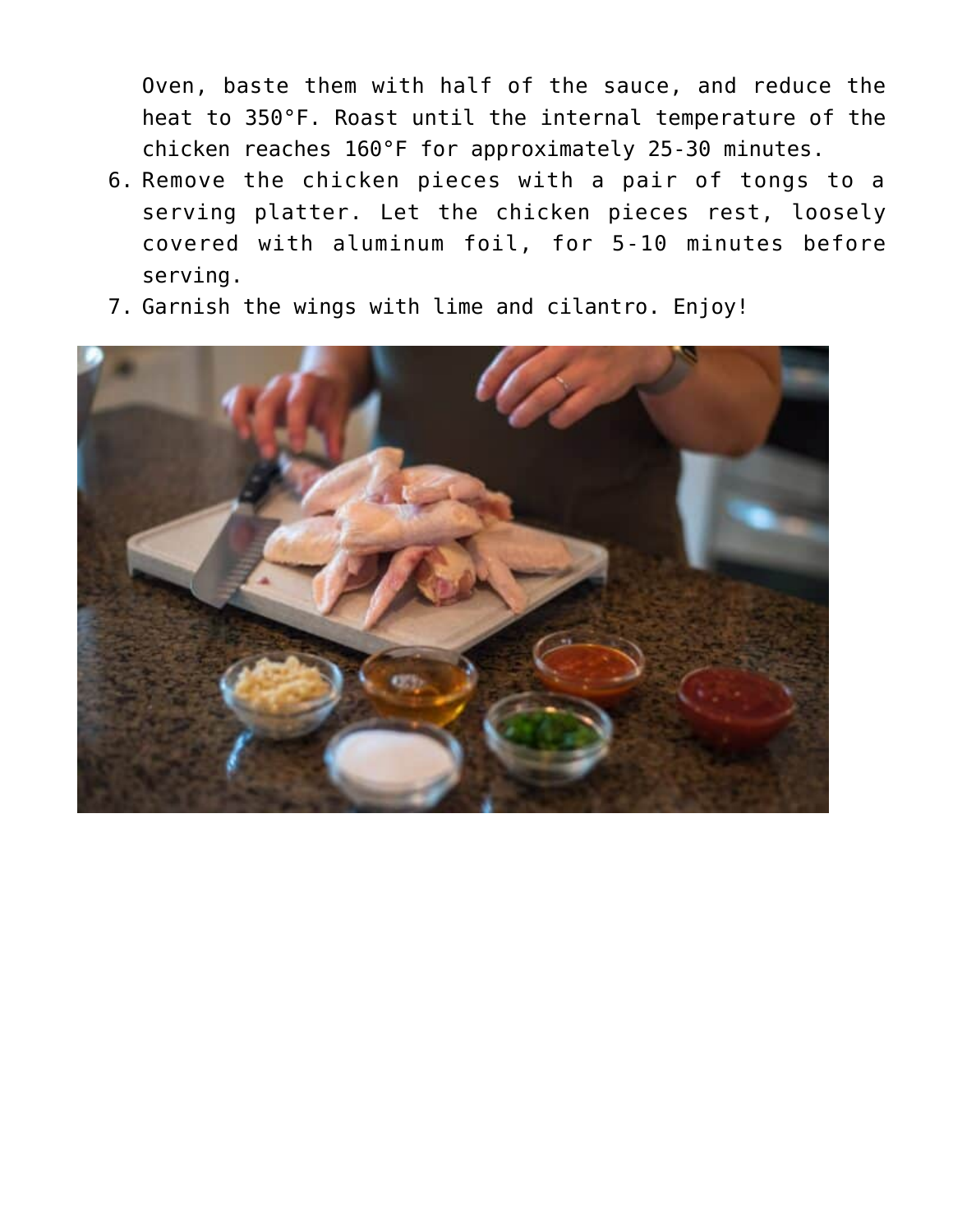Oven, baste them with half of the sauce, and reduce the heat to 350°F. Roast until the internal temperature of the chicken reaches 160°F for approximately 25-30 minutes.

- 6. Remove the chicken pieces with a pair of tongs to a serving platter. Let the chicken pieces rest, loosely covered with aluminum foil, for 5-10 minutes before serving.
- 7. Garnish the wings with lime and cilantro. Enjoy!

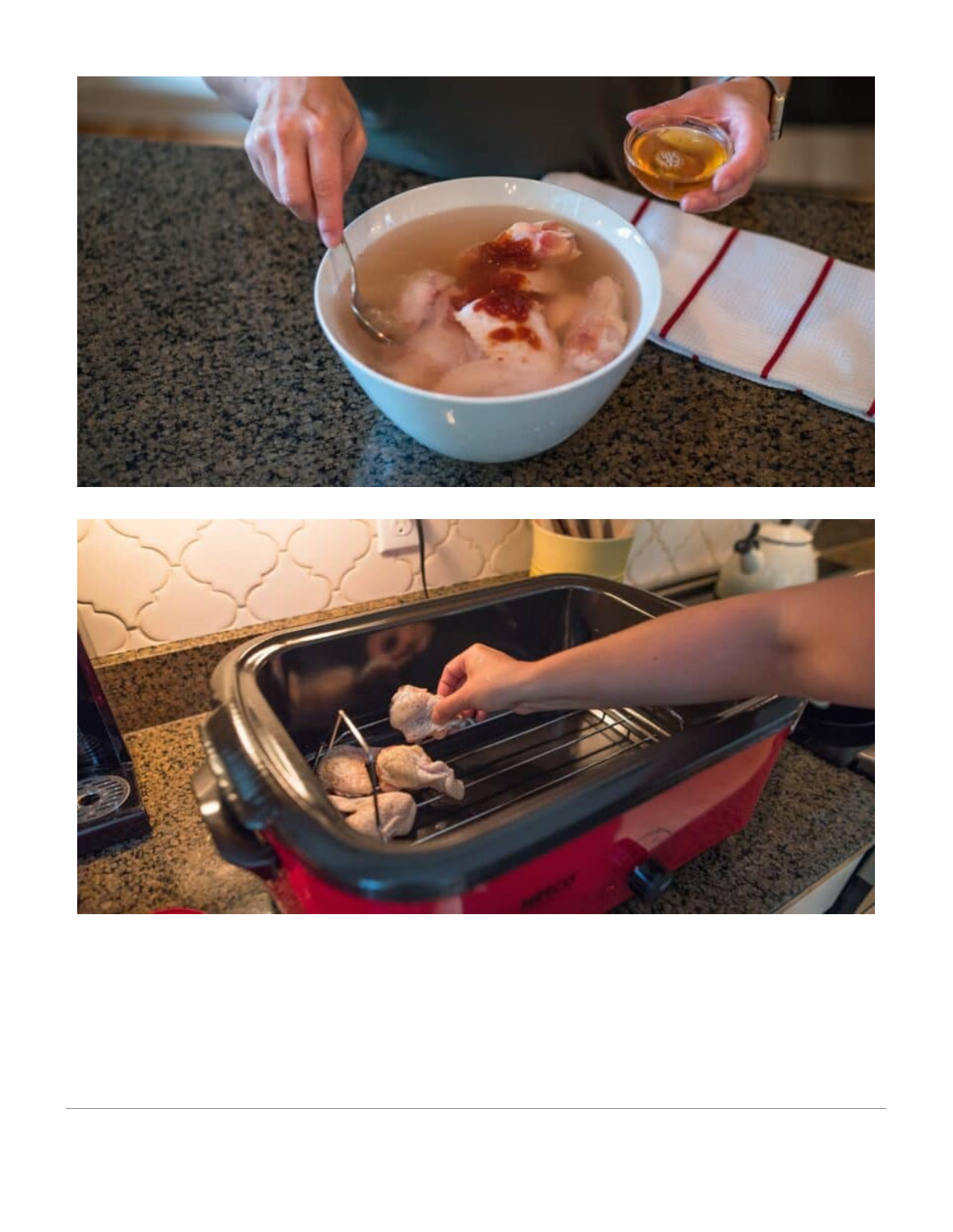

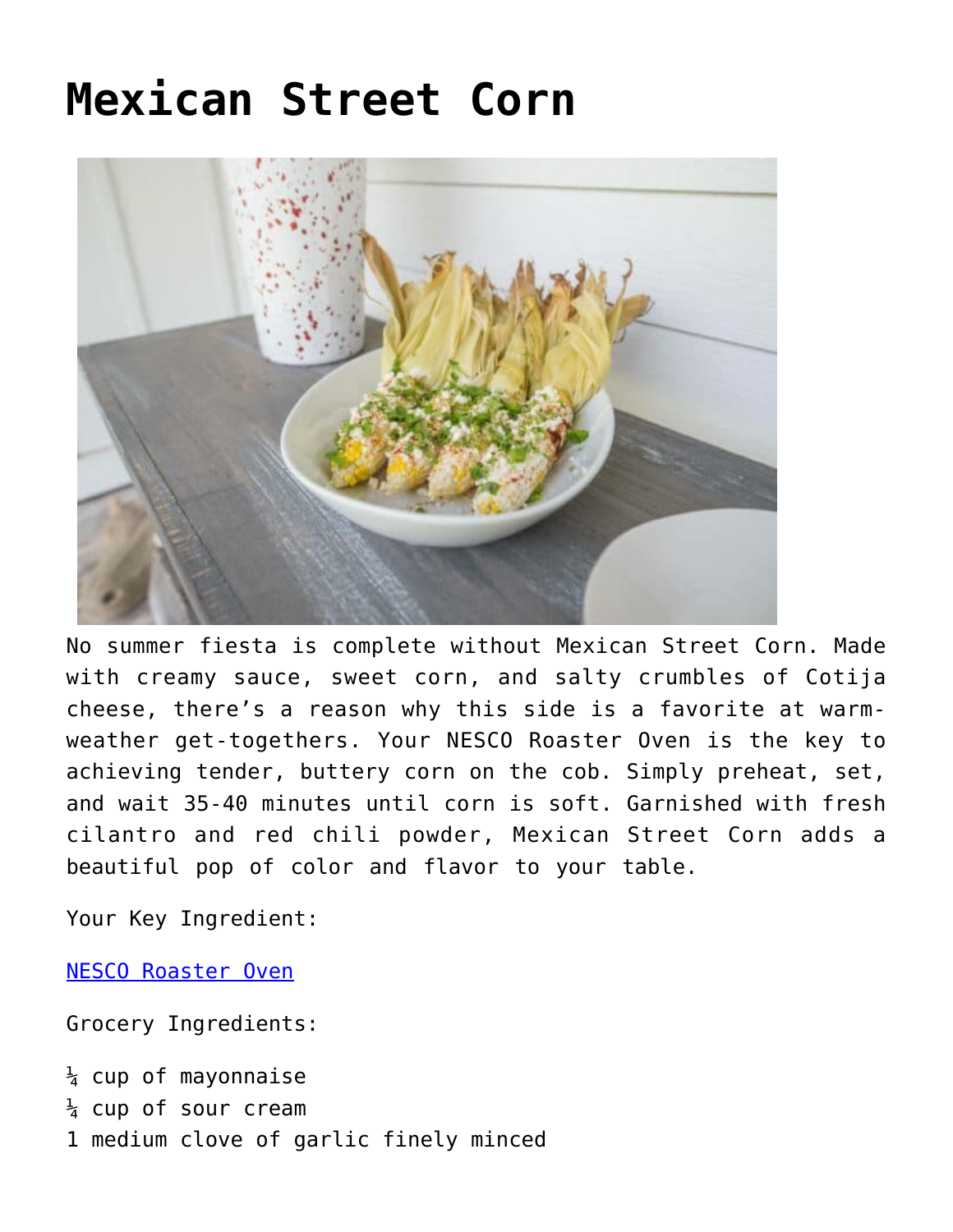#### **[Mexican Street Corn](https://www.nesco.com/recipe/mexican-street-corn/)**



No summer fiesta is complete without Mexican Street Corn. Made with creamy sauce, sweet corn, and salty crumbles of Cotija cheese, there's a reason why this side is a favorite at warmweather get-togethers. Your NESCO Roaster Oven is the key to achieving tender, buttery corn on the cob. Simply preheat, set, and wait 35-40 minutes until corn is soft. Garnished with fresh cilantro and red chili powder, Mexican Street Corn adds a beautiful pop of color and flavor to your table.

Your Key Ingredient:

[NESCO Roaster Oven](https://www.nesco.com/product-category/cooking/roaster-ovens/)

Grocery Ingredients:

- $\frac{1}{4}$  cup of mayonnaise
- $\frac{1}{4}$  cup of sour cream
- 1 medium clove of garlic finely minced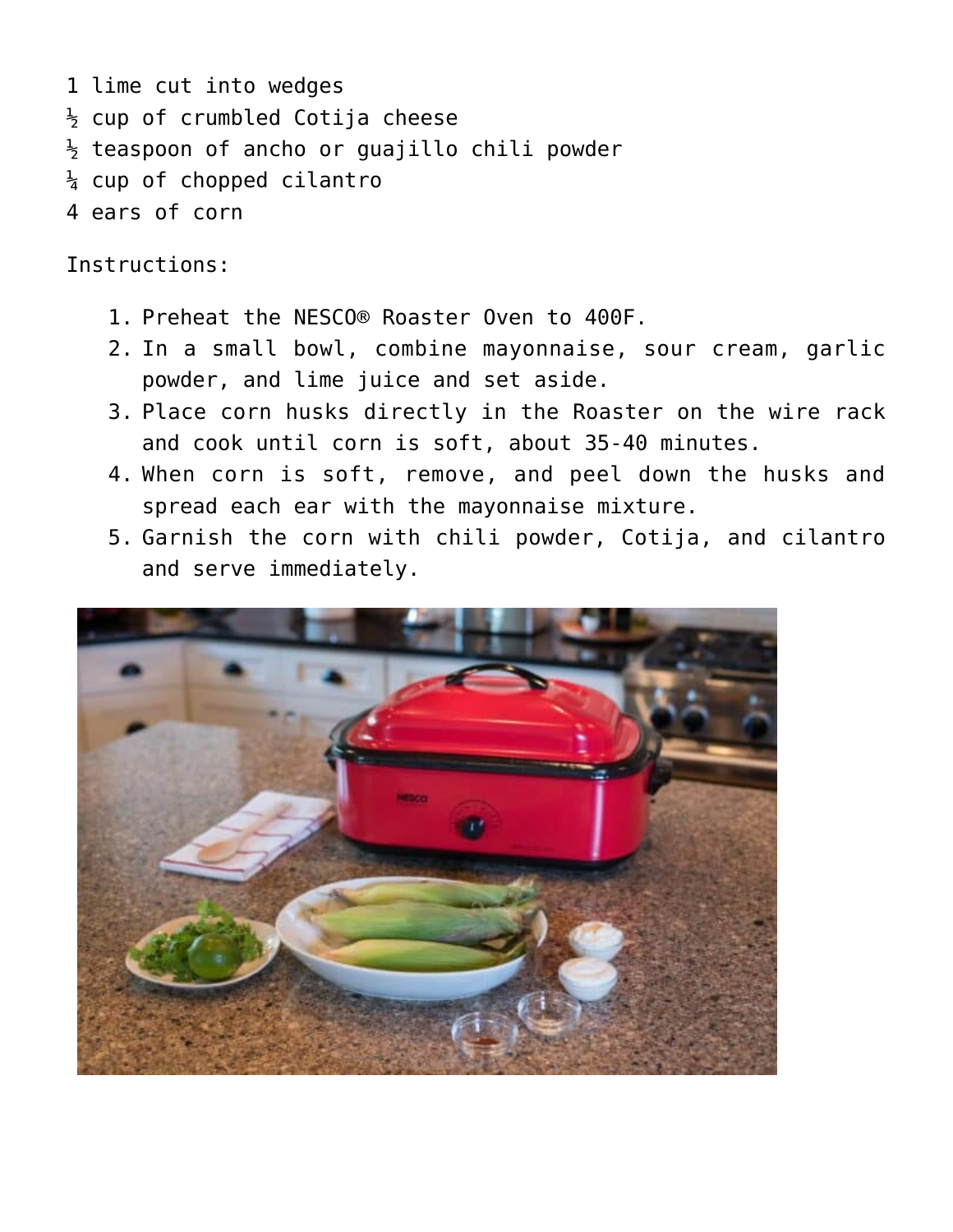1 lime cut into wedges  $\frac{1}{2}$  cup of crumbled Cotija cheese  $\frac{1}{2}$  teaspoon of ancho or guajillo chili powder  $\frac{1}{4}$  cup of chopped cilantro 4 ears of corn

- 1. Preheat the NESCO® Roaster Oven to 400F.
- 2. In a small bowl, combine mayonnaise, sour cream, garlic powder, and lime juice and set aside.
- 3. Place corn husks directly in the Roaster on the wire rack and cook until corn is soft, about 35-40 minutes.
- 4. When corn is soft, remove, and peel down the husks and spread each ear with the mayonnaise mixture.
- 5. Garnish the corn with chili powder, Cotija, and cilantro and serve immediately.

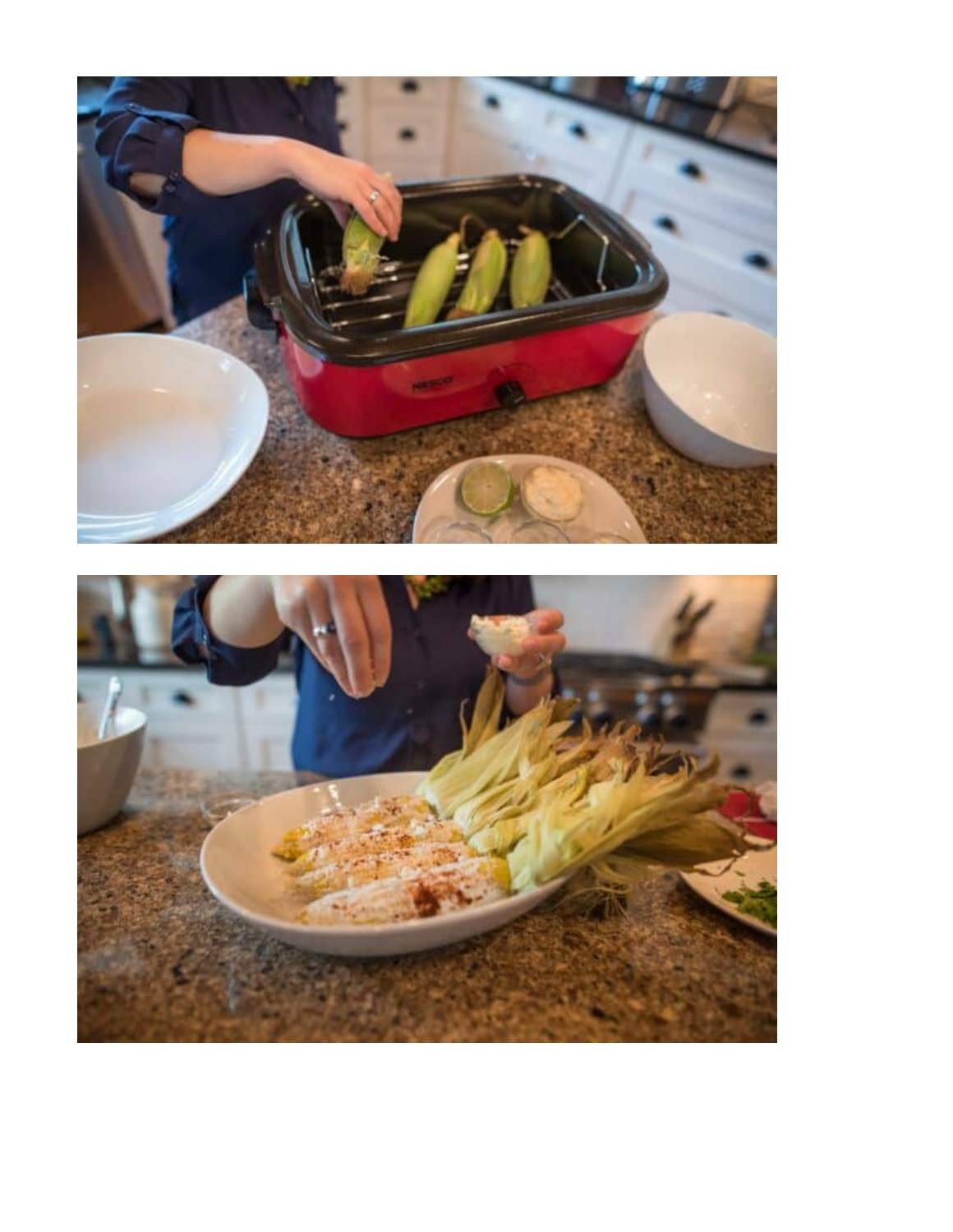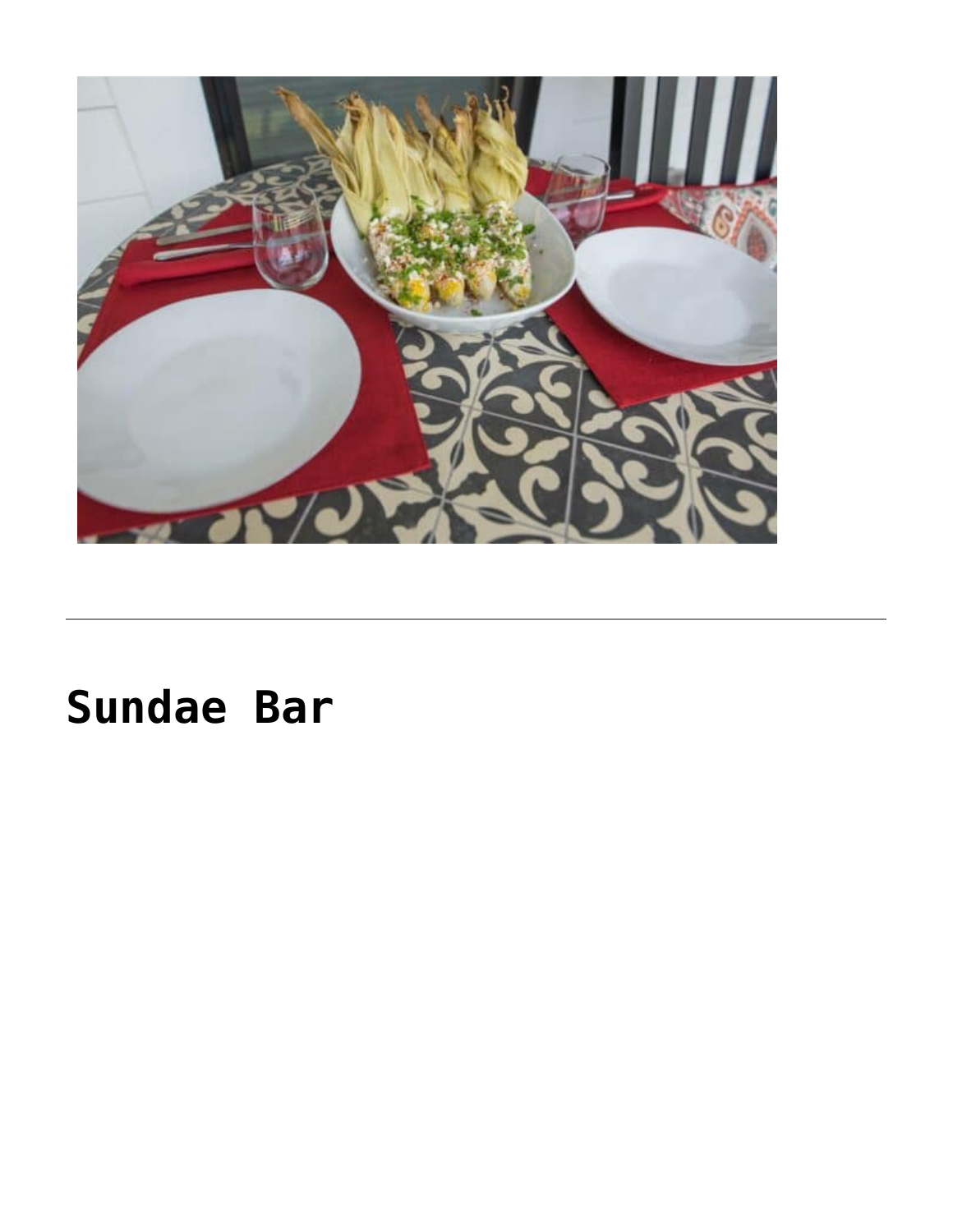

## **[Sundae Bar](https://www.nesco.com/recipe/sundae-bar/)**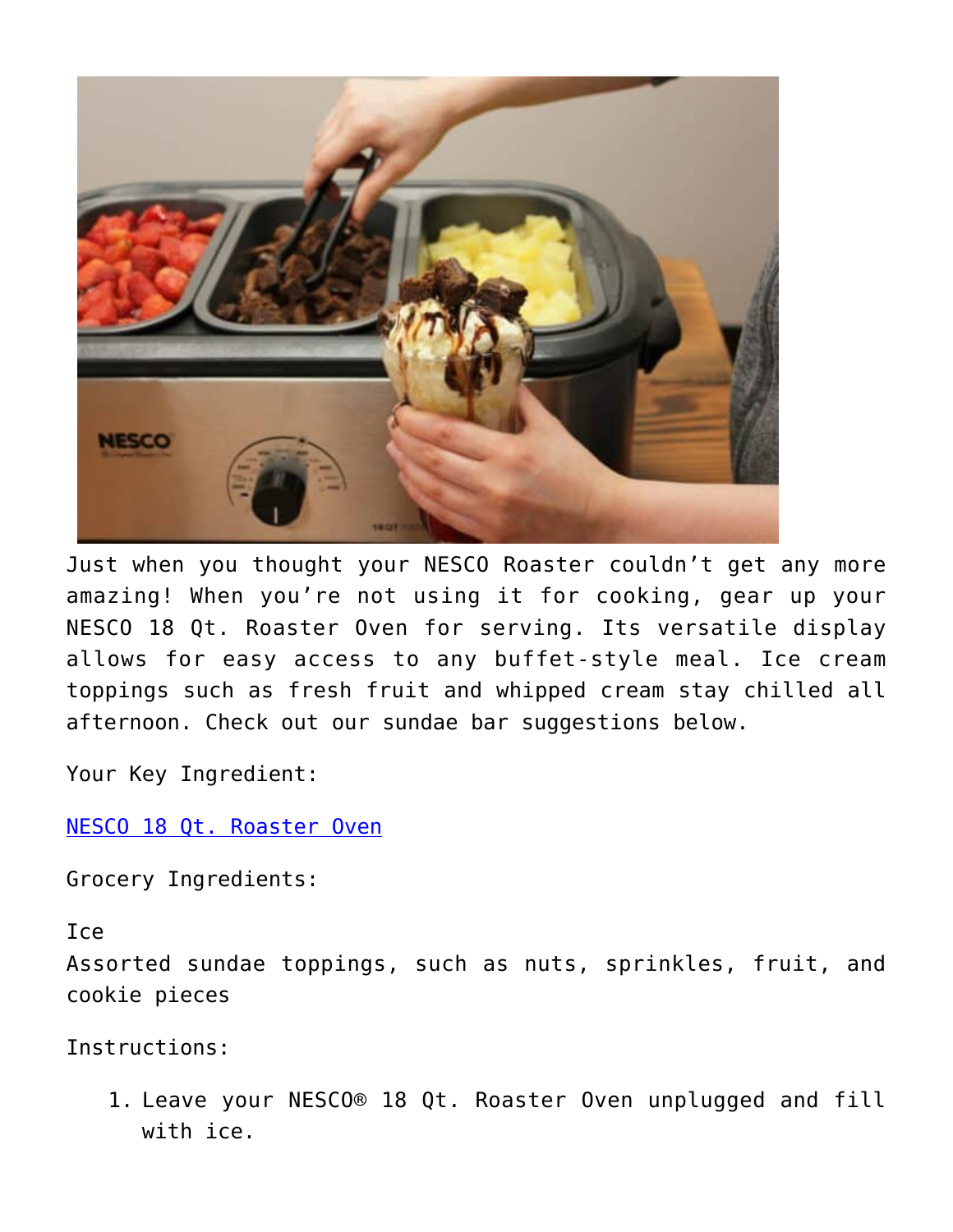

Just when you thought your NESCO Roaster couldn't get any more amazing! When you're not using it for cooking, gear up your NESCO 18 Qt. Roaster Oven for serving. Its versatile display allows for easy access to any buffet-style meal. Ice cream toppings such as fresh fruit and whipped cream stay chilled all afternoon. Check out our sundae bar suggestions below.

Your Key Ingredient:

[NESCO 18 Qt. Roaster Oven](https://www.nesco.com/product-category/cooking/roaster-ovens/)

Grocery Ingredients:

Ice

Assorted sundae toppings, such as nuts, sprinkles, fruit, and cookie pieces

Instructions:

1. Leave your NESCO® 18 Qt. Roaster Oven unplugged and fill with ice.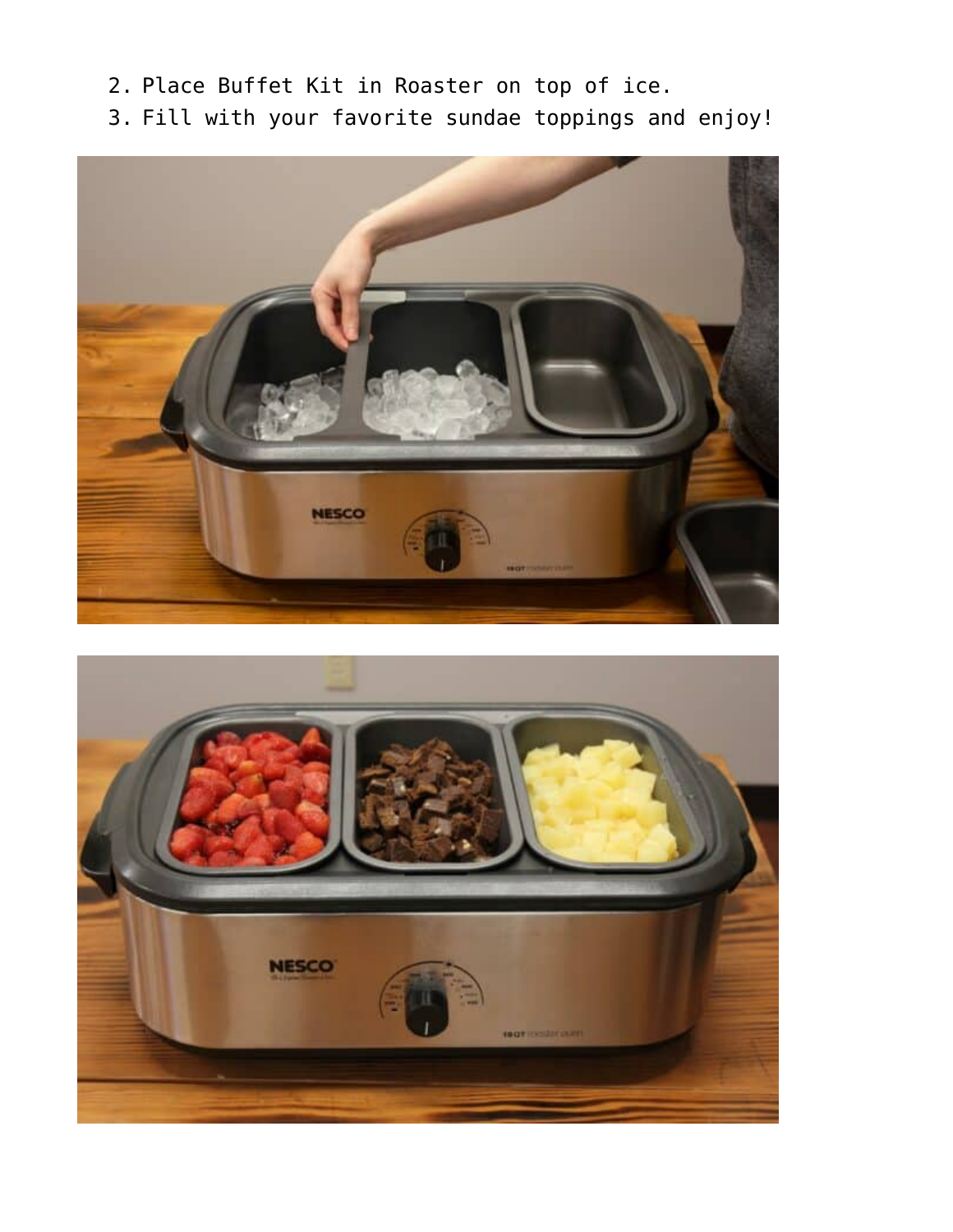- 2. Place Buffet Kit in Roaster on top of ice.
- 3. Fill with your favorite sundae toppings and enjoy!



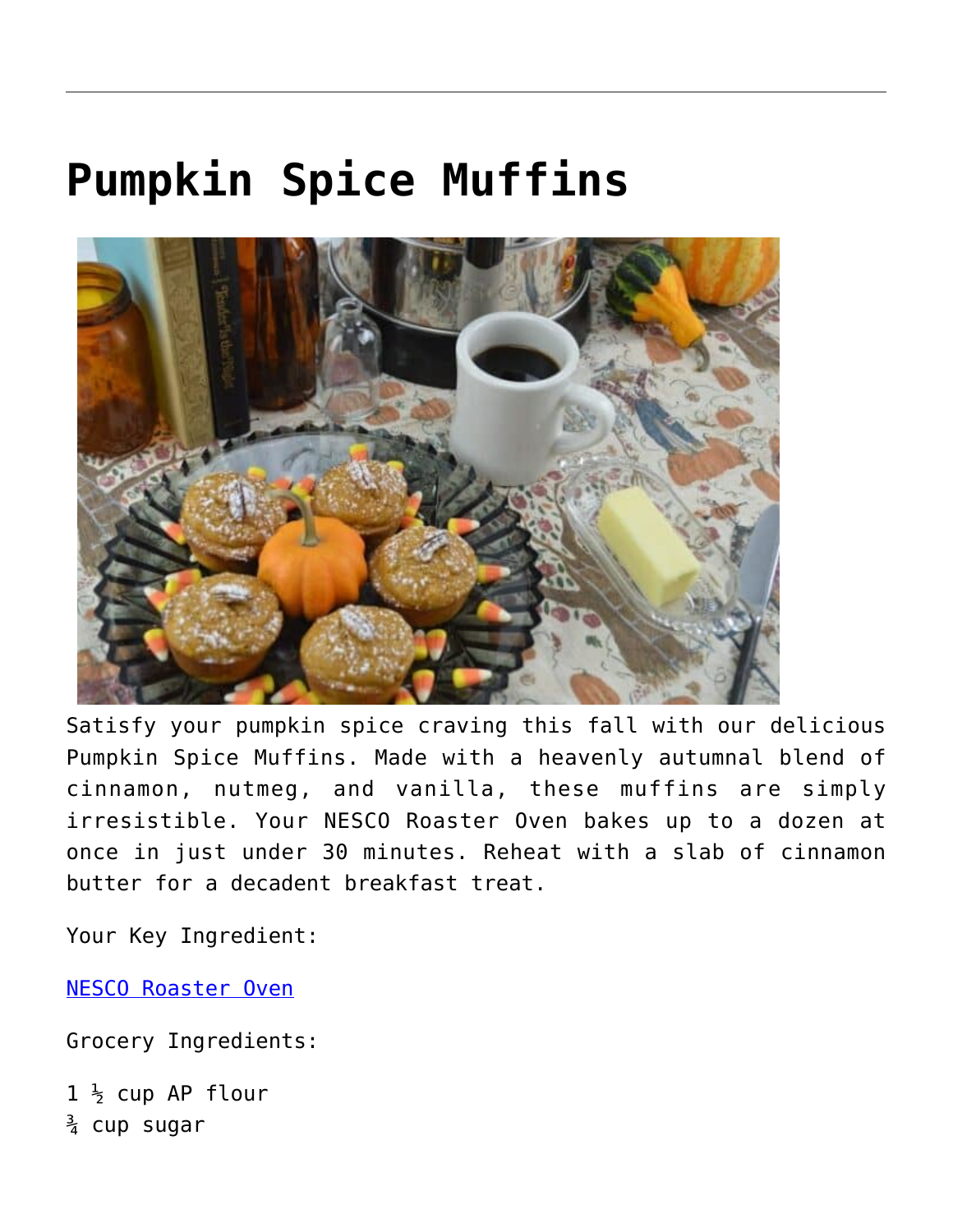#### **[Pumpkin Spice Muffins](https://www.nesco.com/recipe/pumpkin-spice-muffins/)**



Satisfy your pumpkin spice craving this fall with our delicious Pumpkin Spice Muffins. Made with a heavenly autumnal blend of cinnamon, nutmeg, and vanilla, these muffins are simply irresistible. Your NESCO Roaster Oven bakes up to a dozen at once in just under 30 minutes. Reheat with a slab of cinnamon butter for a decadent breakfast treat.

Your Key Ingredient:

[NESCO Roaster Oven](https://www.nesco.com/product-category/cooking/roaster-ovens/)

Grocery Ingredients:

 $1 \frac{1}{2}$  cup AP flour  $\frac{3}{4}$  cup sugar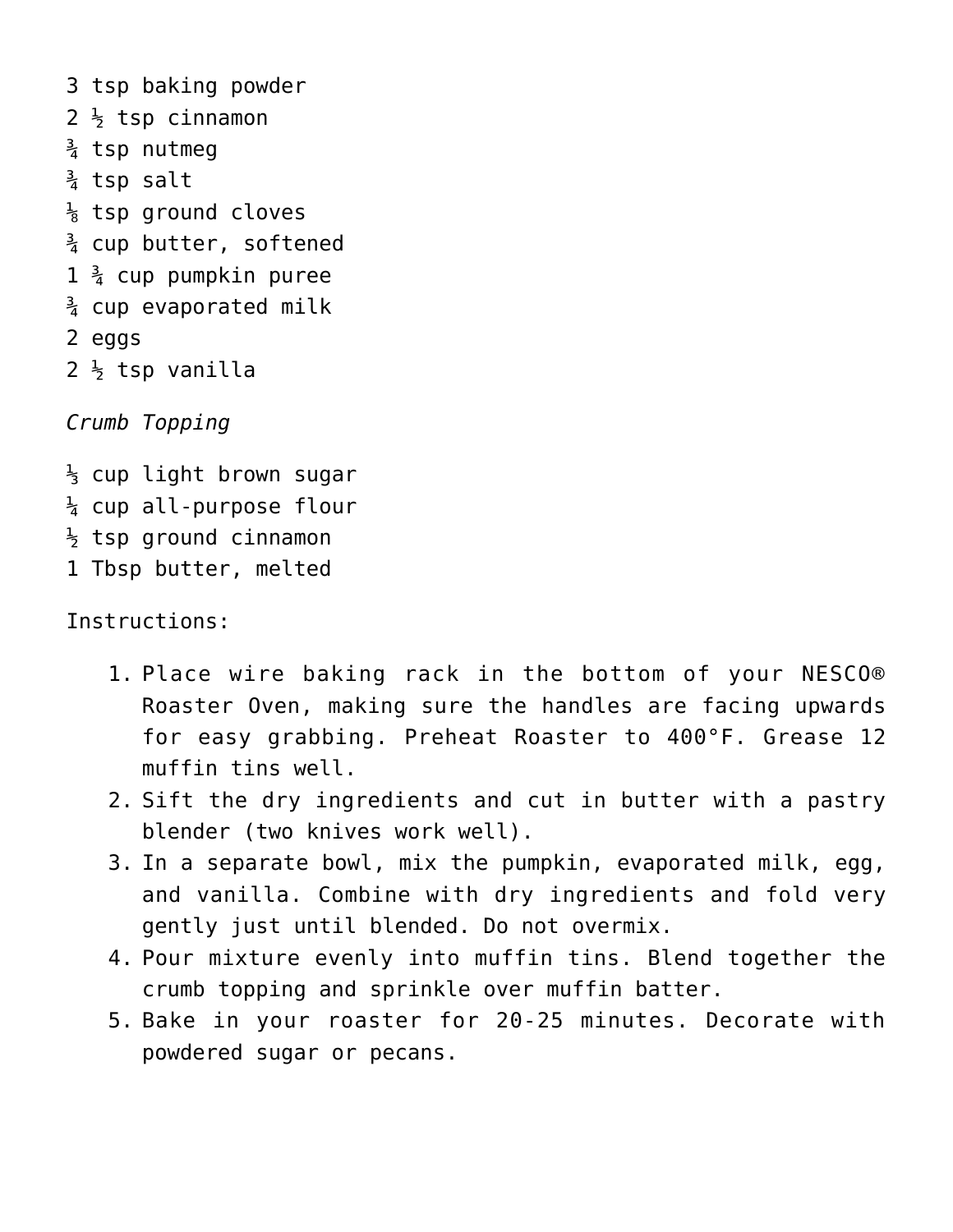3 tsp baking powder  $2\frac{1}{2}$  tsp cinnamon  $\frac{3}{4}$  tsp nutmeq  $\frac{3}{4}$  tsp salt  $\frac{1}{8}$  tsp ground cloves ¾ cup butter, softened  $1 \frac{3}{4}$  cup pumpkin puree  $\frac{3}{4}$  cup evaporated milk 2 eggs  $2\frac{1}{2}$  tsp vanilla *Crumb Topping* ⅓ cup light brown sugar

 $\frac{1}{4}$  cup all-purpose flour  $\frac{1}{2}$  tsp ground cinnamon 1 Tbsp butter, melted

- 1. Place wire baking rack in the bottom of your NESCO® Roaster Oven, making sure the handles are facing upwards for easy grabbing. Preheat Roaster to 400°F. Grease 12 muffin tins well.
- 2. Sift the dry ingredients and cut in butter with a pastry blender (two knives work well).
- 3. In a separate bowl, mix the pumpkin, evaporated milk, egg, and vanilla. Combine with dry ingredients and fold very gently just until blended. Do not overmix.
- 4. Pour mixture evenly into muffin tins. Blend together the crumb topping and sprinkle over muffin batter.
- 5. Bake in your roaster for 20-25 minutes. Decorate with powdered sugar or pecans.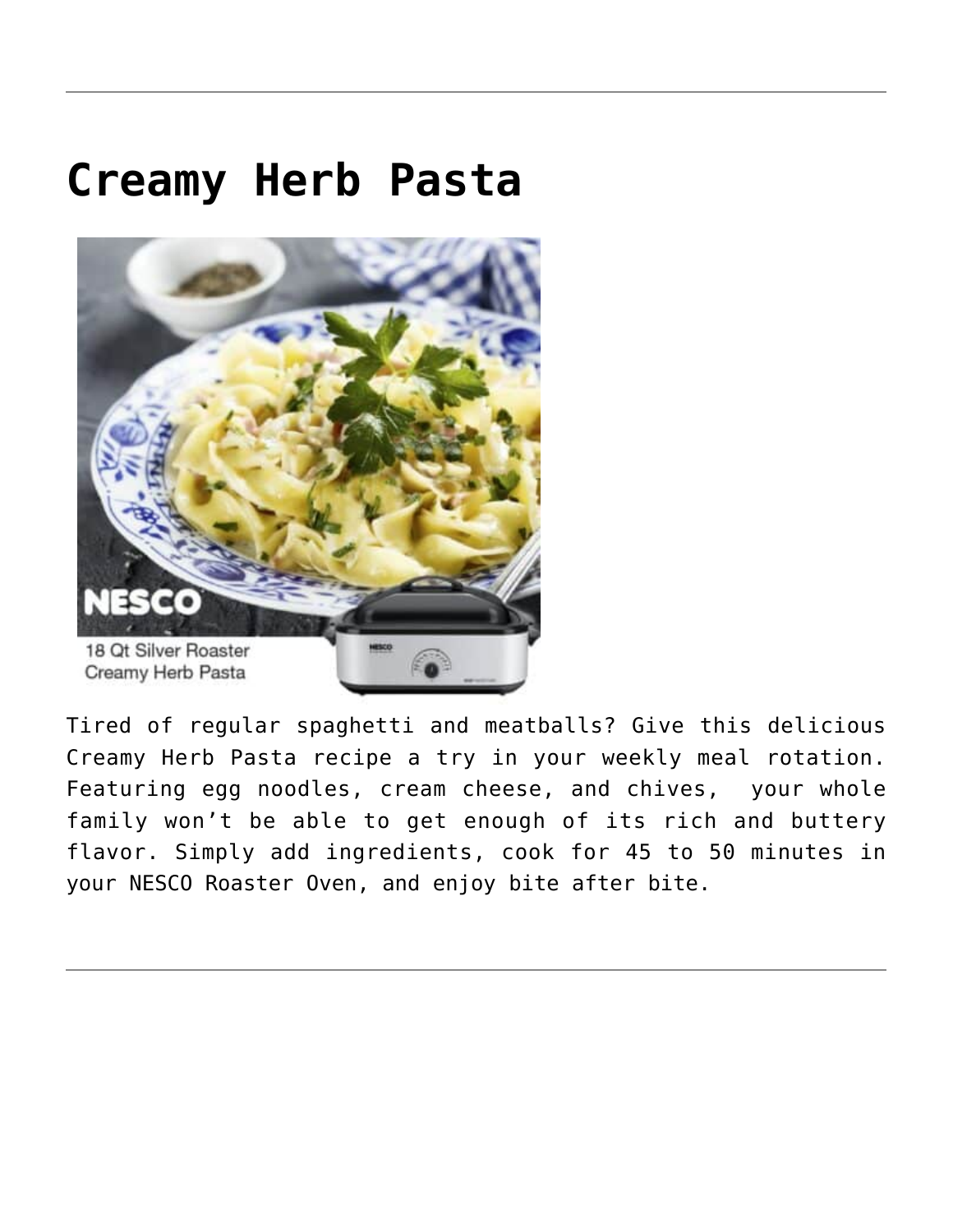#### **[Creamy Herb Pasta](https://www.nesco.com/recipe/creamy-herb-pasta/)**



Tired of regular spaghetti and meatballs? Give this delicious Creamy Herb Pasta recipe a try in your weekly meal rotation. Featuring egg noodles, cream cheese, and chives, your whole family won't be able to get enough of its rich and buttery flavor. Simply add ingredients, cook for 45 to 50 minutes in your NESCO Roaster Oven, and enjoy bite after bite.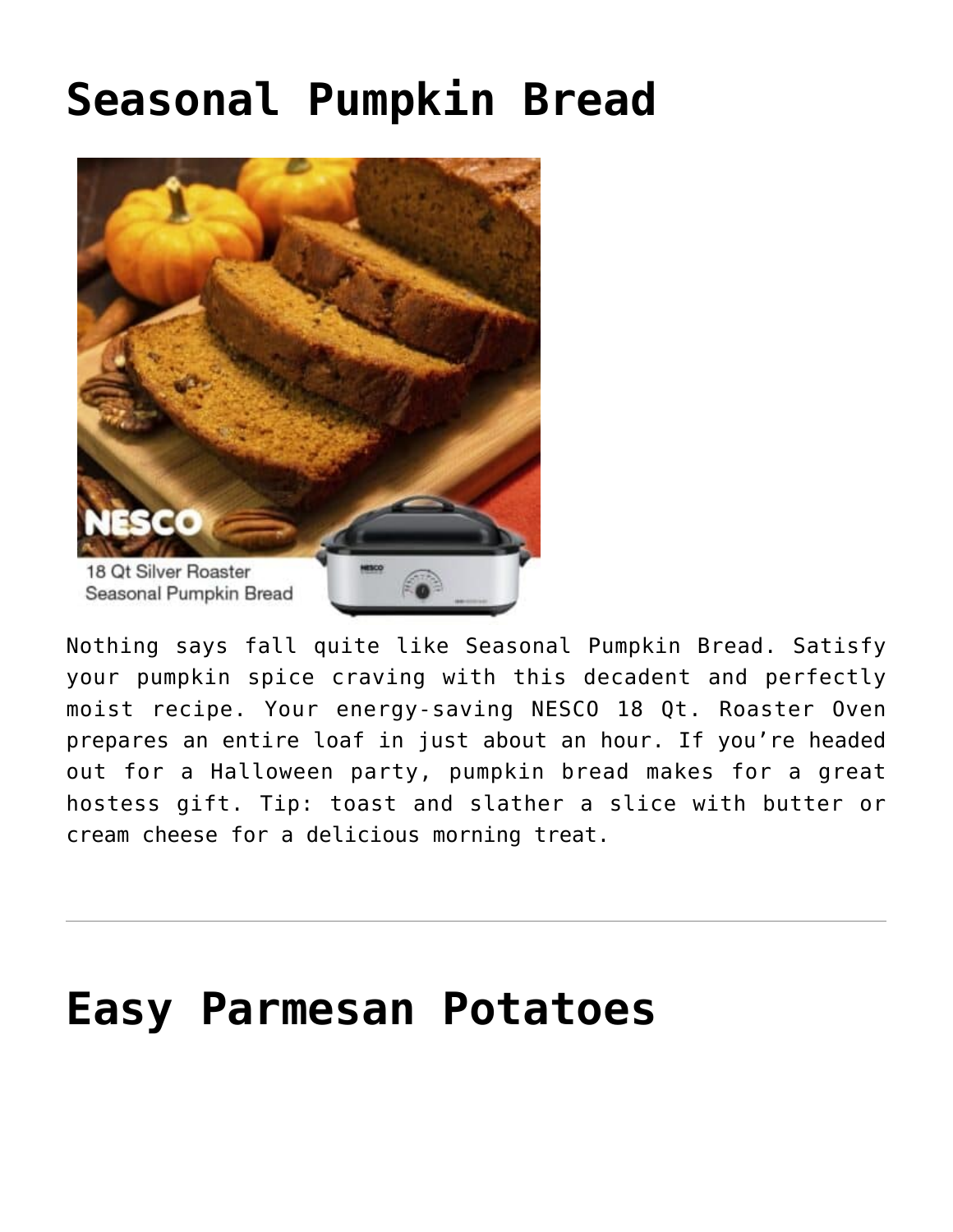#### **[Seasonal Pumpkin Bread](https://www.nesco.com/recipe/seasonal-pumpkin-bread/)**



Nothing says fall quite like Seasonal Pumpkin Bread. Satisfy your pumpkin spice craving with this decadent and perfectly moist recipe. Your energy-saving NESCO 18 Qt. Roaster Oven prepares an entire loaf in just about an hour. If you're headed out for a Halloween party, pumpkin bread makes for a great hostess gift. Tip: toast and slather a slice with butter or cream cheese for a delicious morning treat.

#### **[Easy Parmesan Potatoes](https://www.nesco.com/recipe/easy-parmesan-potatoes/)**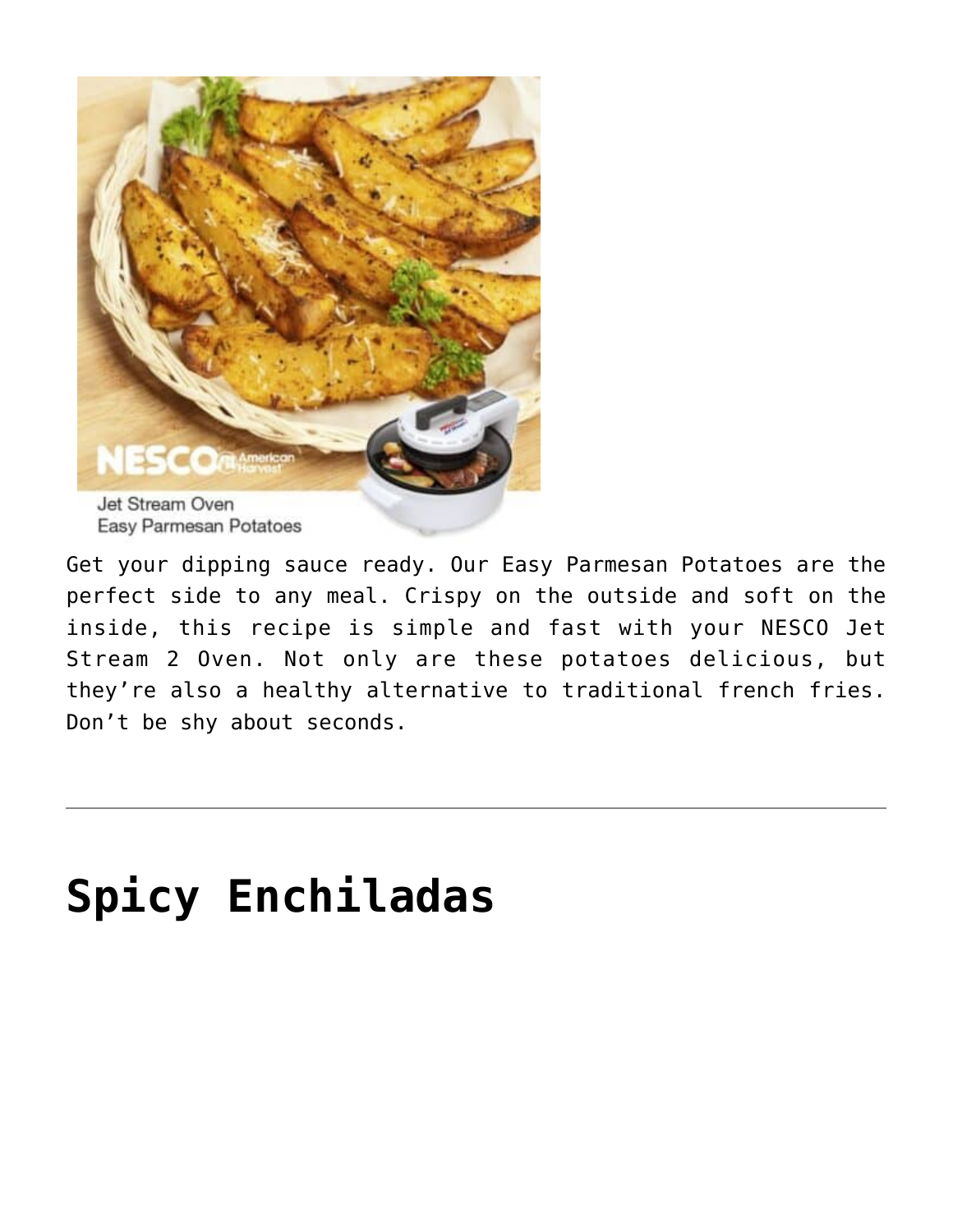

Easy Parmesan Potatoes

Get your dipping sauce ready. Our Easy Parmesan Potatoes are the perfect side to any meal. Crispy on the outside and soft on the inside, this recipe is simple and fast with your NESCO Jet Stream 2 Oven. Not only are these potatoes delicious, but they're also a healthy alternative to traditional french fries. Don't be shy about seconds.

# **[Spicy Enchiladas](https://www.nesco.com/recipe/spicy-enchiladas/)**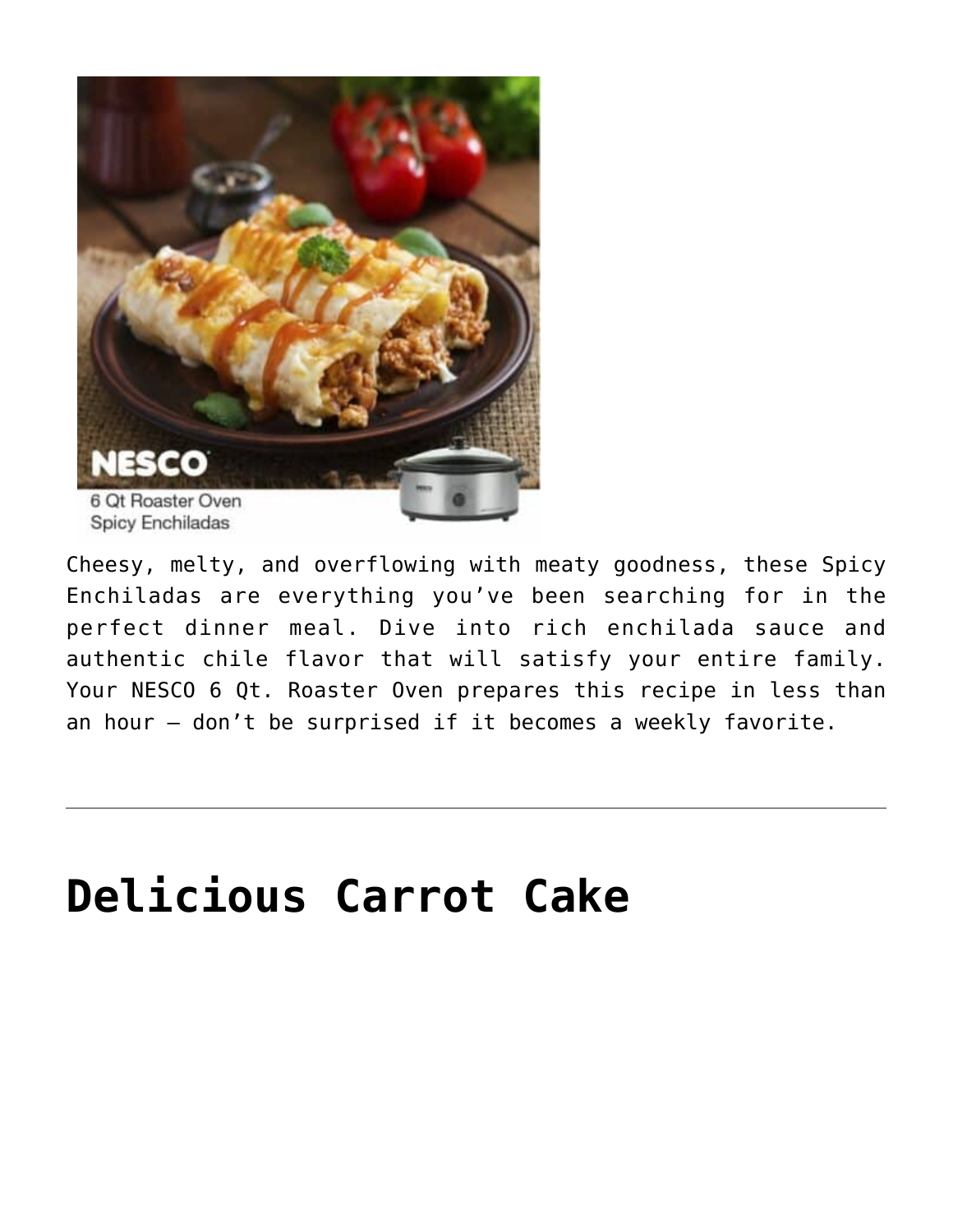

Cheesy, melty, and overflowing with meaty goodness, these Spicy Enchiladas are everything you've been searching for in the perfect dinner meal. Dive into rich enchilada sauce and authentic chile flavor that will satisfy your entire family. Your NESCO 6 Qt. Roaster Oven prepares this recipe in less than an hour – don't be surprised if it becomes a weekly favorite.

# **[Delicious Carrot Cake](https://www.nesco.com/recipe/delicious-carrot-cake/)**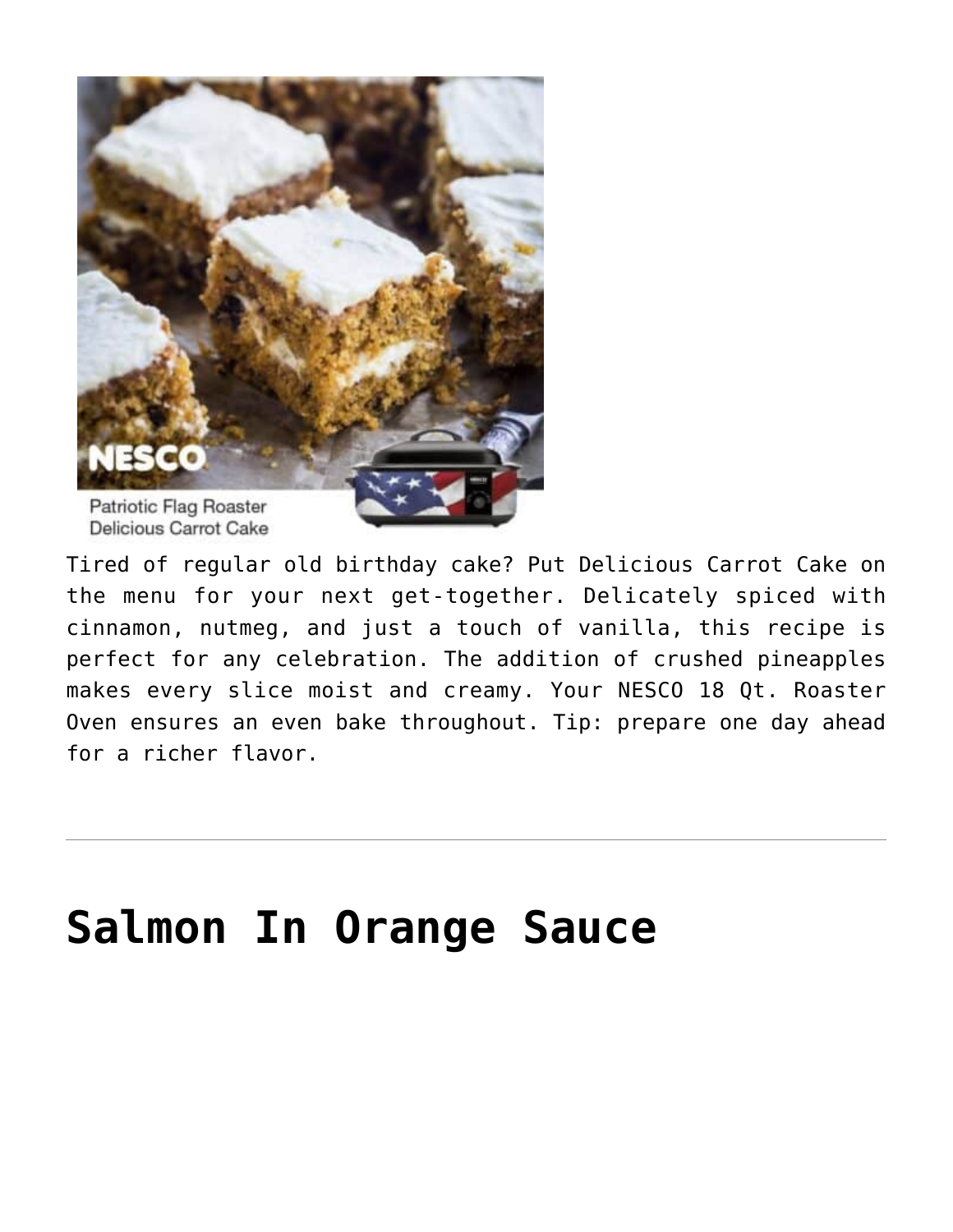

Tired of regular old birthday cake? Put Delicious Carrot Cake on the menu for your next get-together. Delicately spiced with cinnamon, nutmeg, and just a touch of vanilla, this recipe is perfect for any celebration. The addition of crushed pineapples makes every slice moist and creamy. Your NESCO 18 Qt. Roaster Oven ensures an even bake throughout. Tip: prepare one day ahead for a richer flavor.

# **[Salmon In Orange Sauce](https://www.nesco.com/recipe/salmon-in-orange-sauce/)**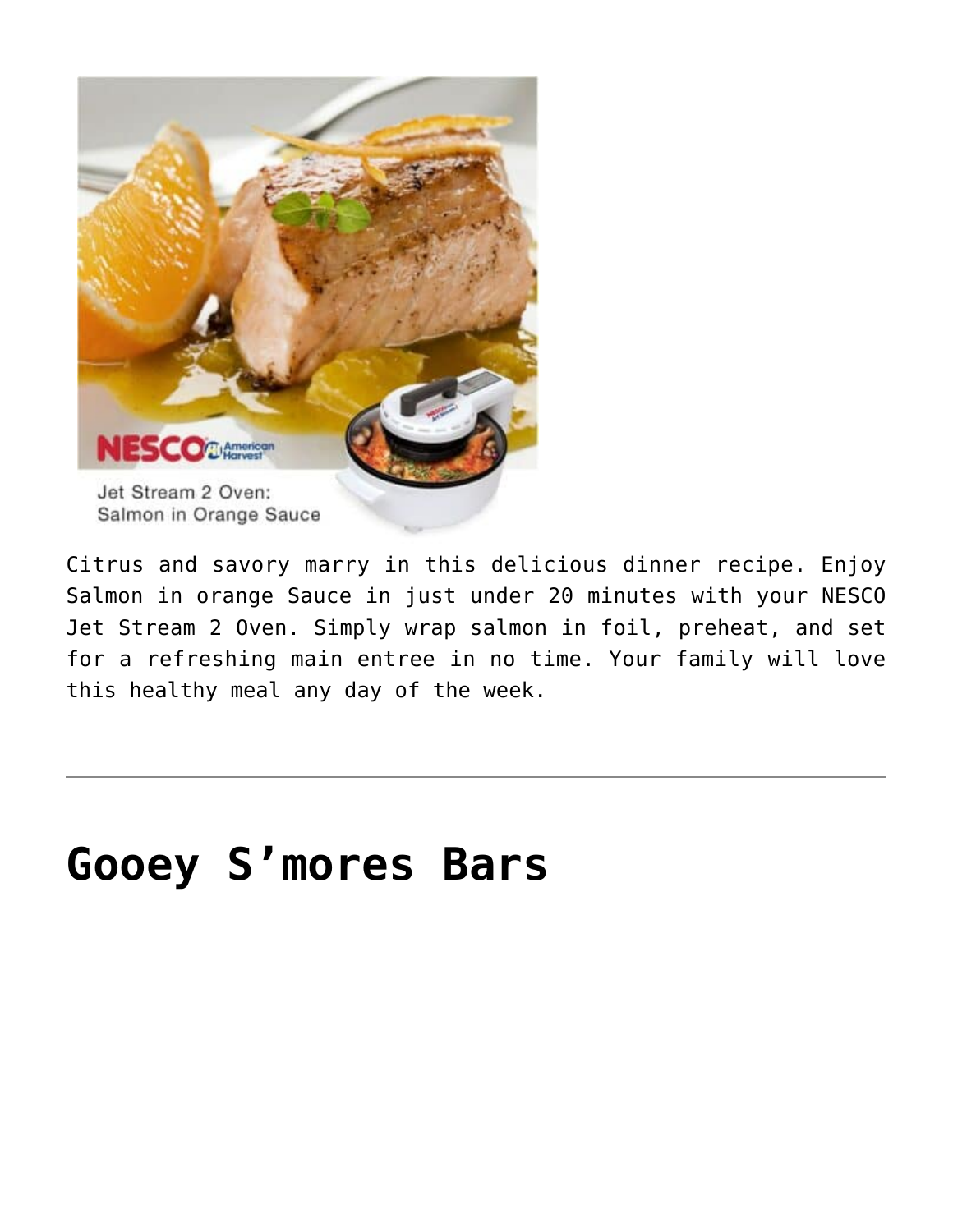

Citrus and savory marry in this delicious dinner recipe. Enjoy Salmon in orange Sauce in just under 20 minutes with your NESCO Jet Stream 2 Oven. Simply wrap salmon in foil, preheat, and set for a refreshing main entree in no time. Your family will love this healthy meal any day of the week.

#### **[Gooey S'mores Bars](https://www.nesco.com/recipe/gooey-smores-bars/)**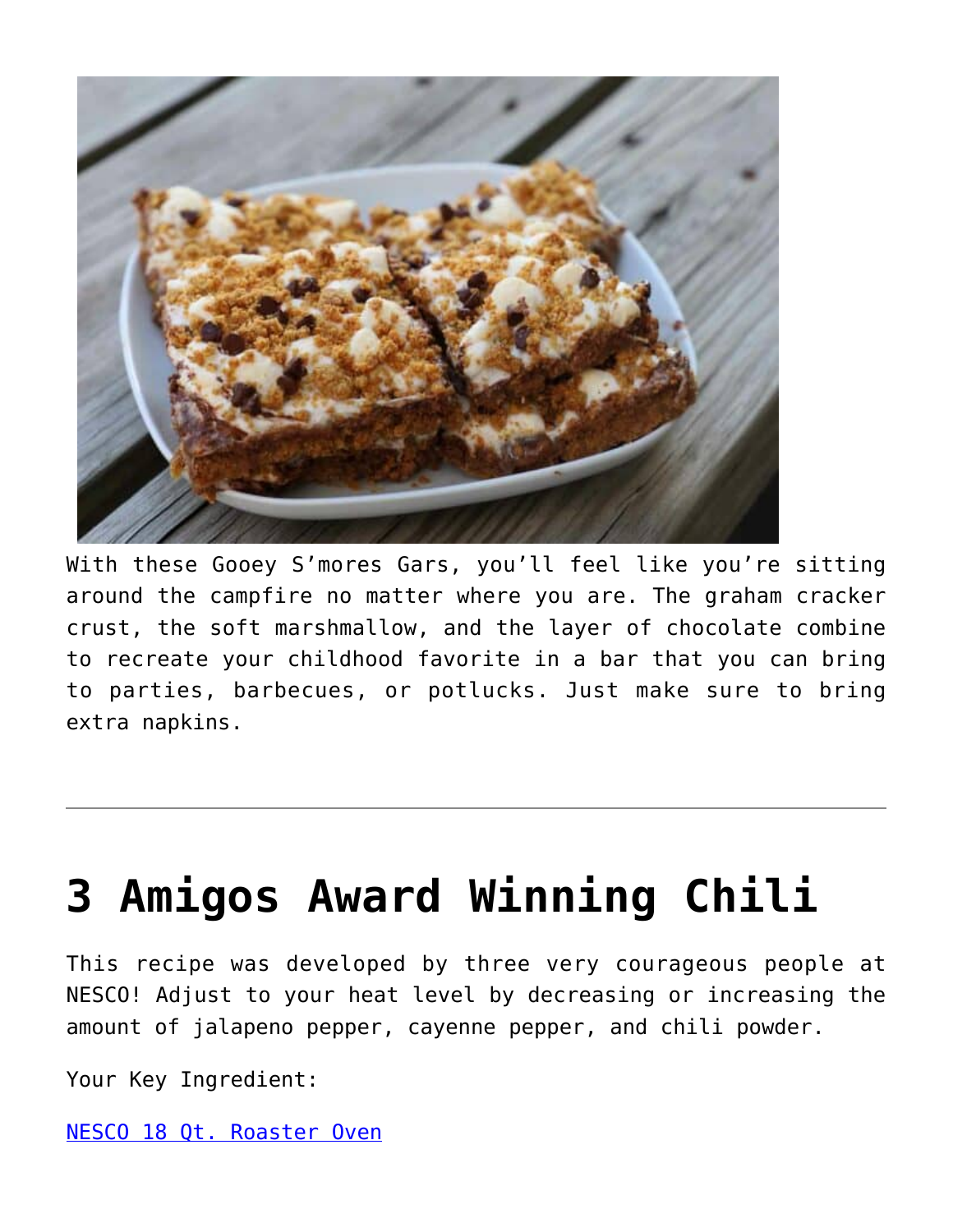

With these Gooey S'mores Gars, you'll feel like you're sitting around the campfire no matter where you are. The graham cracker crust, the soft marshmallow, and the layer of chocolate combine to recreate your childhood favorite in a bar that you can bring to parties, barbecues, or potlucks. Just make sure to bring extra napkins.

# **[3 Amigos Award Winning Chili](https://www.nesco.com/recipe/3-amigos-award-winning-chili-12-or-18qt-roaster/)**

This recipe was developed by three very courageous people at NESCO! Adjust to your heat level by decreasing or increasing the amount of jalapeno pepper, cayenne pepper, and chili powder.

Your Key Ingredient:

[NESCO 18 Qt. Roaster Oven](https://www.nesco.com/product-category/cooking/roaster-ovens/18-qt-roasters/)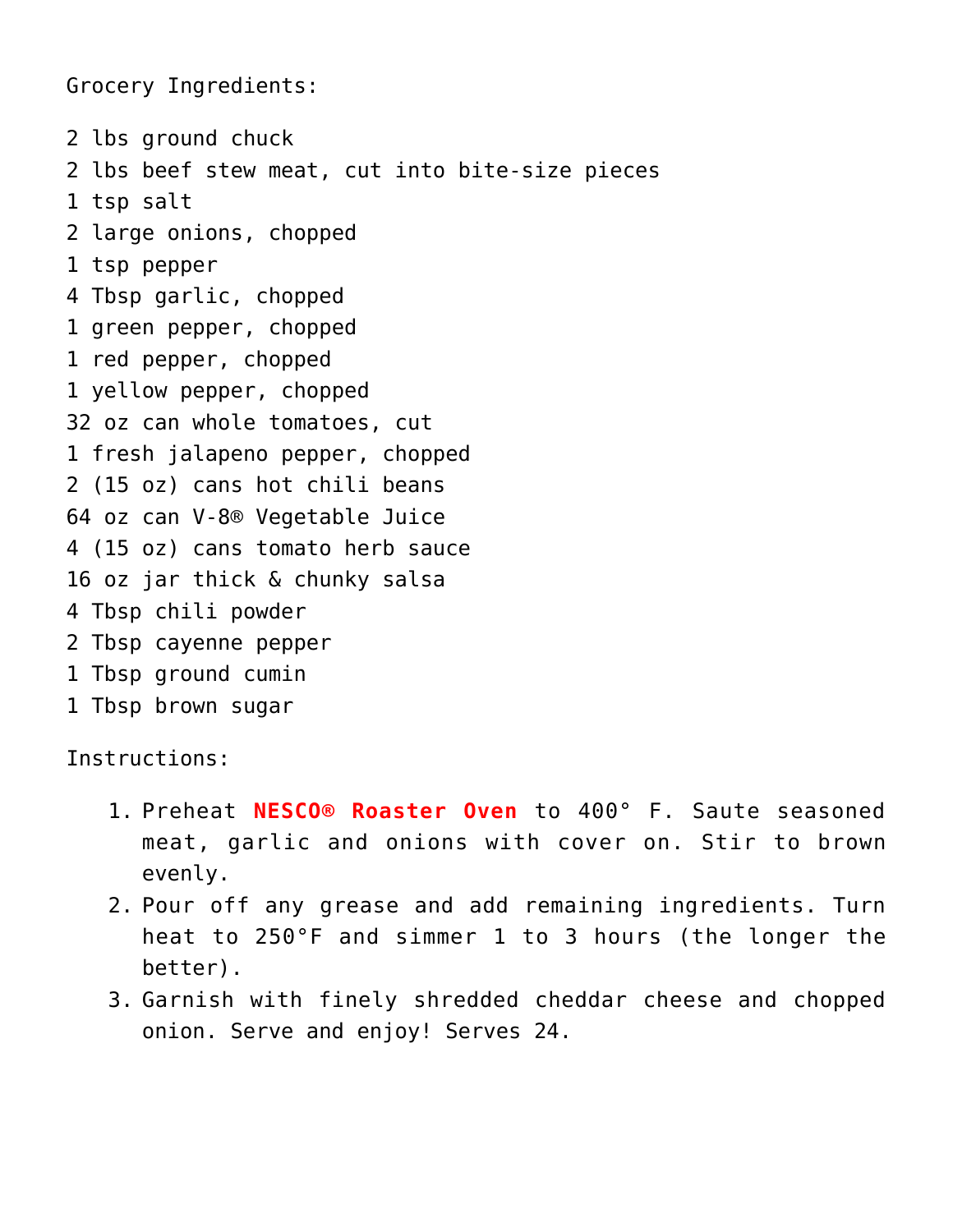Grocery Ingredients:

2 lbs ground chuck 2 lbs beef stew meat, cut into bite-size pieces 1 tsp salt 2 large onions, chopped 1 tsp pepper 4 Tbsp garlic, chopped 1 green pepper, chopped 1 red pepper, chopped 1 yellow pepper, chopped 32 oz can whole tomatoes, cut 1 fresh jalapeno pepper, chopped 2 (15 oz) cans hot chili beans 64 oz can V-8® Vegetable Juice 4 (15 oz) cans tomato herb sauce 16 oz jar thick & chunky salsa 4 Tbsp chili powder 2 Tbsp cayenne pepper 1 Tbsp ground cumin 1 Tbsp brown sugar

- 1. Preheat **NESCO® Roaster Oven** to 400° F. Saute seasoned meat, garlic and onions with cover on. Stir to brown evenly.
- 2. Pour off any grease and add remaining ingredients. Turn heat to 250°F and simmer 1 to 3 hours (the longer the better).
- 3. Garnish with finely shredded cheddar cheese and chopped onion. Serve and enjoy! Serves 24.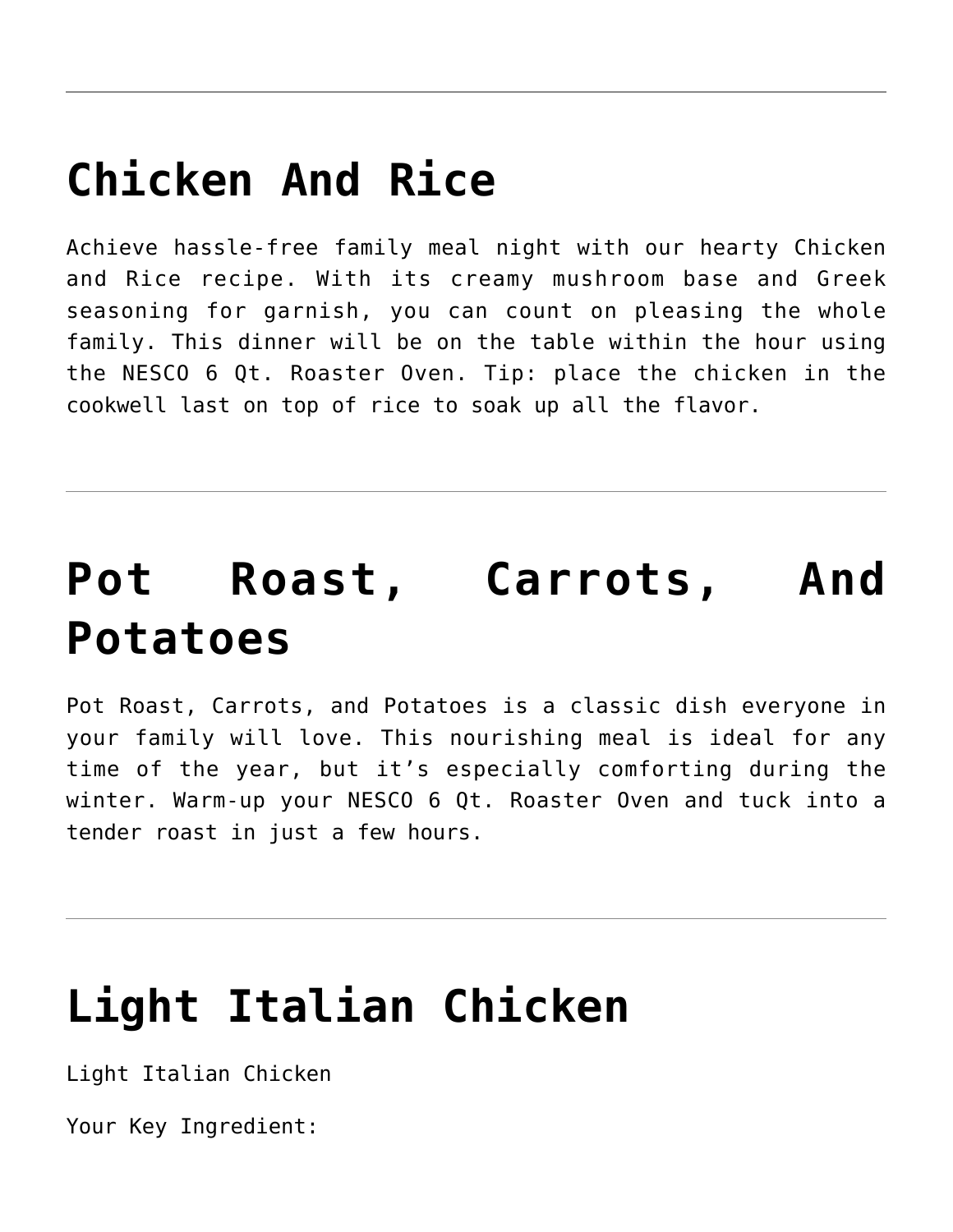## **[Chicken And Rice](https://www.nesco.com/recipe/chicken-rice-6qt-roaster/)**

Achieve hassle-free family meal night with our hearty Chicken and Rice recipe. With its creamy mushroom base and Greek seasoning for garnish, you can count on pleasing the whole family. This dinner will be on the table within the hour using the NESCO 6 Qt. Roaster Oven. Tip: place the chicken in the cookwell last on top of rice to soak up all the flavor.

# **[Pot Roast, Carrots, And](https://www.nesco.com/recipe/pot-roast-carrots-potatoes-4-5-or-6qt-roaster/) [Potatoes](https://www.nesco.com/recipe/pot-roast-carrots-potatoes-4-5-or-6qt-roaster/)**

Pot Roast, Carrots, and Potatoes is a classic dish everyone in your family will love. This nourishing meal is ideal for any time of the year, but it's especially comforting during the winter. Warm-up your NESCO 6 Qt. Roaster Oven and tuck into a tender roast in just a few hours.

# **[Light Italian Chicken](https://www.nesco.com/recipe/light-italian-chicken-6qt-roaster/)**

Light Italian Chicken

Your Key Ingredient: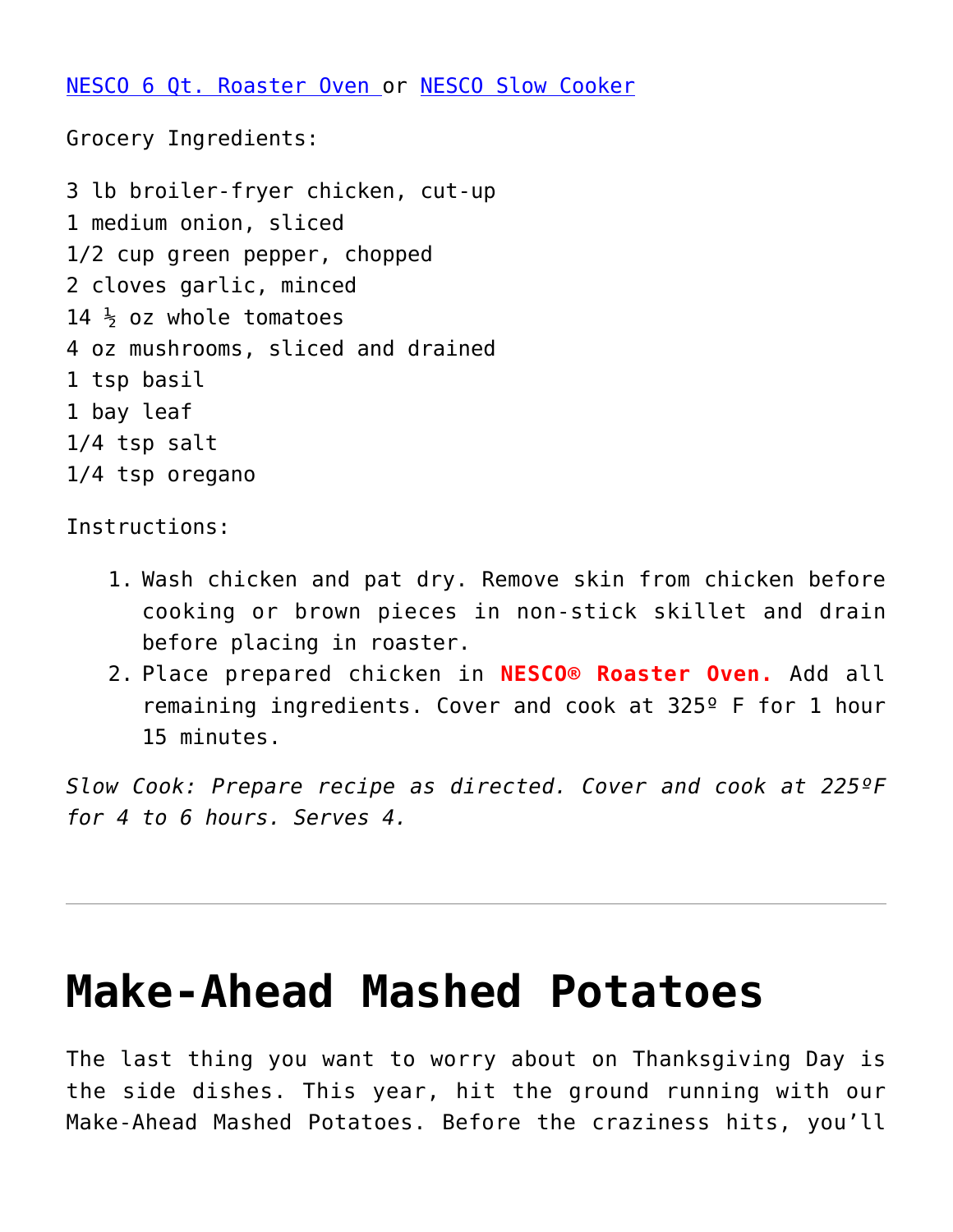[NESCO 6 Qt. Roaster Oven o](https://www.nesco.com/product-category/cooking/roaster-ovens/6-qt-roasters/)r [NESCO Slow Cooker](https://www.nesco.com/product-category/cooking/slow-cookers/)

Grocery Ingredients:

```
3 lb broiler-fryer chicken, cut-up
1 medium onion, sliced
1/2 cup green pepper, chopped
2 cloves garlic, minced
14 \frac{1}{2} oz whole tomatoes
4 oz mushrooms, sliced and drained
1 tsp basil
1 bay leaf
1/4 tsp salt
1/4 tsp oregano
```
Instructions:

- 1. Wash chicken and pat dry. Remove skin from chicken before cooking or brown pieces in non-stick skillet and drain before placing in roaster.
- 2. Place prepared chicken in **NESCO® Roaster Oven.** Add all remaining ingredients. Cover and cook at 325º F for 1 hour 15 minutes.

*Slow Cook: Prepare recipe as directed. Cover and cook at 225ºF for 4 to 6 hours. Serves 4.*

#### **[Make-Ahead Mashed Potatoes](https://www.nesco.com/recipe/make-ahead-mashed-potatoes-4-5-or-6qt-roaster/)**

The last thing you want to worry about on Thanksgiving Day is the side dishes. This year, hit the ground running with our Make-Ahead Mashed Potatoes. Before the craziness hits, you'll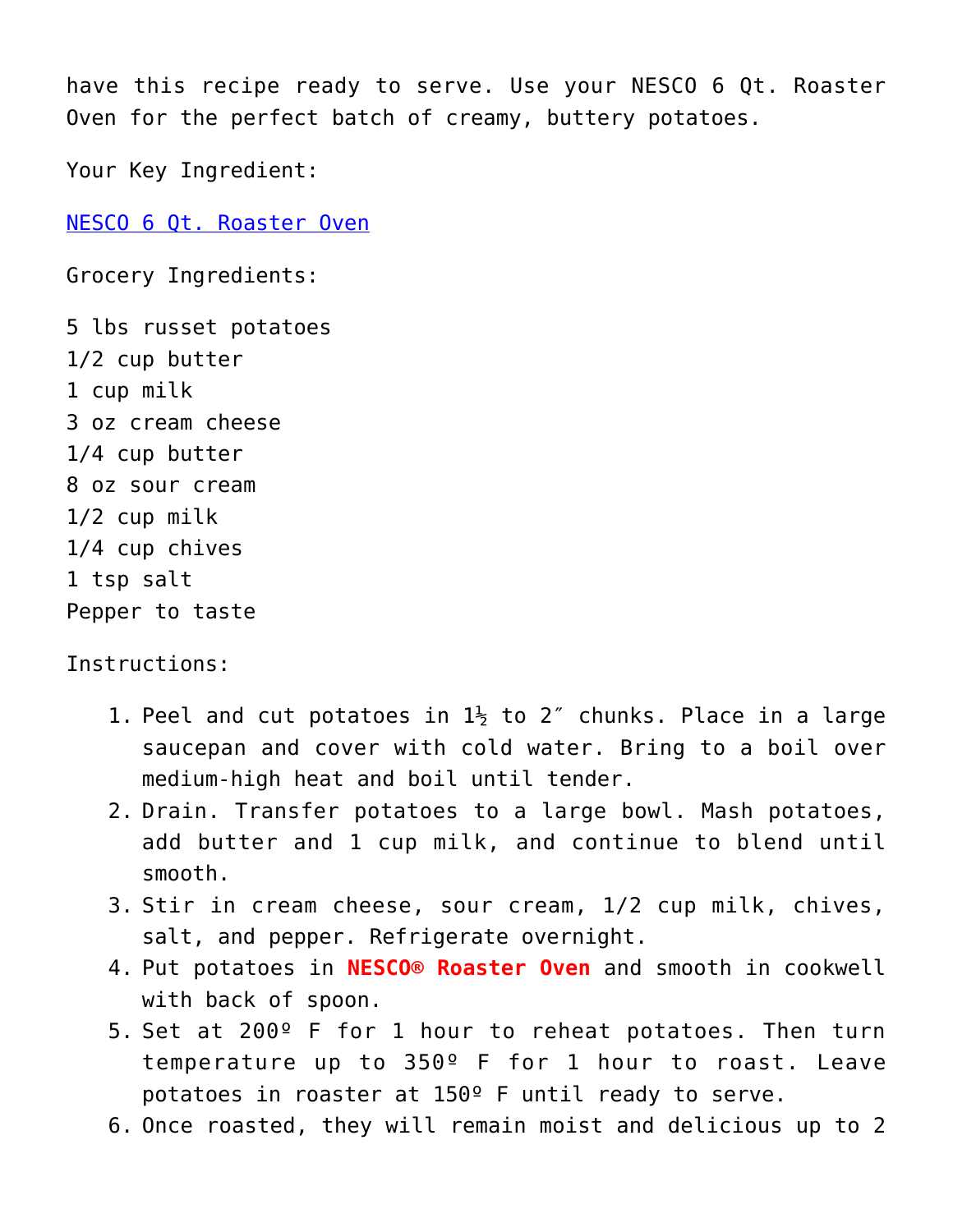have this recipe ready to serve. Use your NESCO 6 Qt. Roaster Oven for the perfect batch of creamy, buttery potatoes.

Your Key Ingredient:

[NESCO 6 Qt. Roaster Oven](https://www.nesco.com/product-category/cooking/roaster-ovens/6-qt-roasters/)

Grocery Ingredients:

5 lbs russet potatoes 1/2 cup butter 1 cup milk 3 oz cream cheese 1/4 cup butter 8 oz sour cream 1/2 cup milk 1/4 cup chives 1 tsp salt Pepper to taste

- 1. Peel and cut potatoes in  $1\frac{1}{2}$  to 2" chunks. Place in a large saucepan and cover with cold water. Bring to a boil over medium-high heat and boil until tender.
- 2. Drain. Transfer potatoes to a large bowl. Mash potatoes, add butter and 1 cup milk, and continue to blend until smooth.
- 3. Stir in cream cheese, sour cream, 1/2 cup milk, chives, salt, and pepper. Refrigerate overnight.
- 4. Put potatoes in **NESCO® Roaster Oven** and smooth in cookwell with back of spoon.
- 5. Set at 200º F for 1 hour to reheat potatoes. Then turn temperature up to 350º F for 1 hour to roast. Leave potatoes in roaster at 150º F until ready to serve.
- 6. Once roasted, they will remain moist and delicious up to 2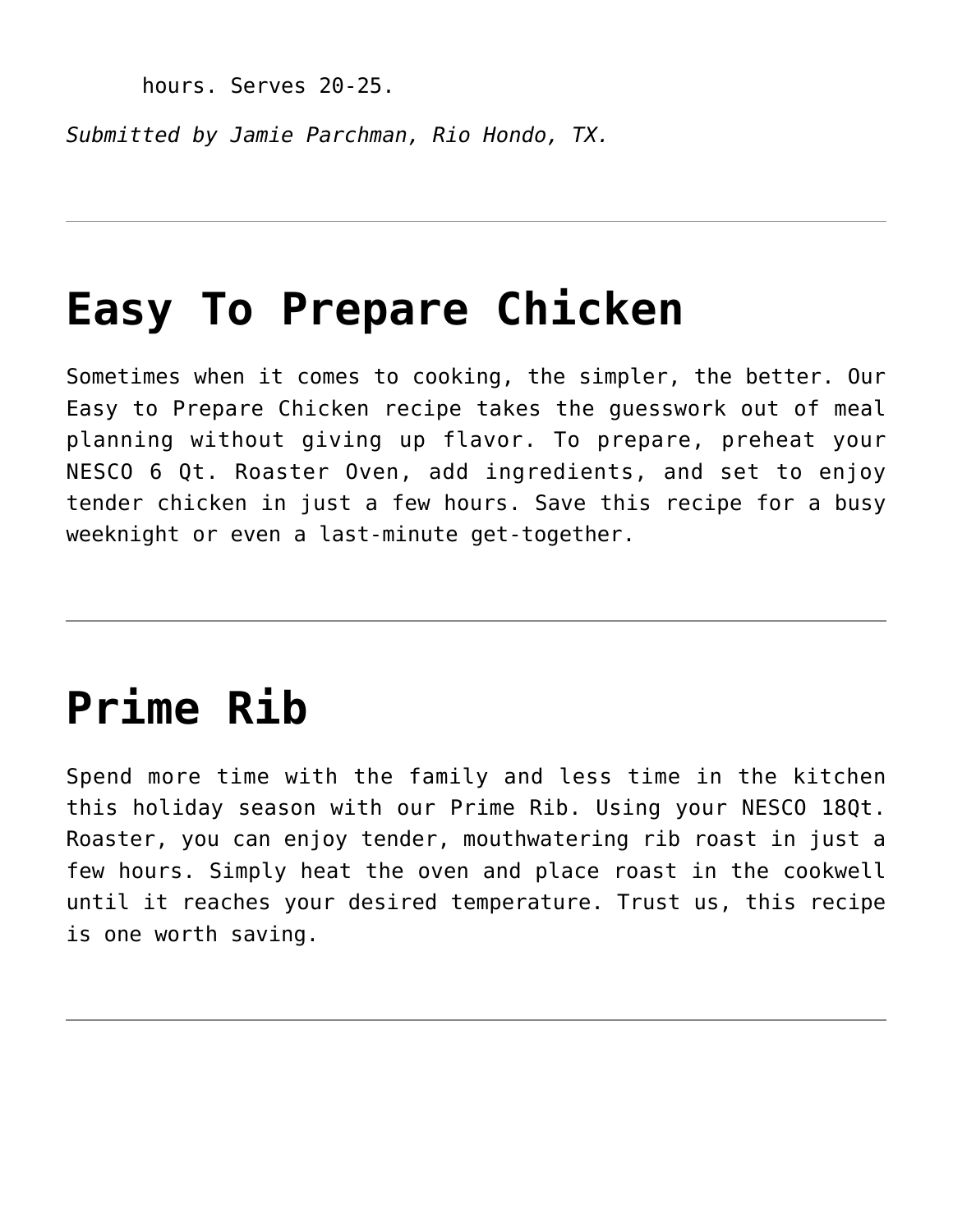hours. Serves 20-25.

*Submitted by Jamie Parchman, Rio Hondo, TX.*

#### **[Easy To Prepare Chicken](https://www.nesco.com/recipe/easy-to-prepare-chicken-4-5-or-6qt-roaster/)**

Sometimes when it comes to cooking, the simpler, the better. Our Easy to Prepare Chicken recipe takes the guesswork out of meal planning without giving up flavor. To prepare, preheat your NESCO 6 Qt. Roaster Oven, add ingredients, and set to enjoy tender chicken in just a few hours. Save this recipe for a busy weeknight or even a last-minute get-together.

## **[Prime Rib](https://www.nesco.com/recipe/prime-rib-18qt-roaster/)**

Spend more time with the family and less time in the kitchen this holiday season with our Prime Rib. Using your NESCO 18Qt. Roaster, you can enjoy tender, mouthwatering rib roast in just a few hours. Simply heat the oven and place roast in the cookwell until it reaches your desired temperature. Trust us, this recipe is one worth saving.